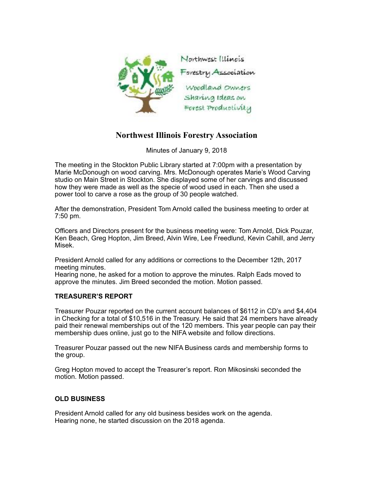

## **Northwest Illinois Forestry Association**

Minutes of January 9, 2018

The meeting in the Stockton Public Library started at 7:00pm with a presentation by Marie McDonough on wood carving. Mrs. McDonough operates Marie's Wood Carving studio on Main Street in Stockton. She displayed some of her carvings and discussed how they were made as well as the specie of wood used in each. Then she used a power tool to carve a rose as the group of 30 people watched.

After the demonstration, President Tom Arnold called the business meeting to order at 7:50 pm.

Officers and Directors present for the business meeting were: Tom Arnold, Dick Pouzar, Ken Beach, Greg Hopton, Jim Breed, Alvin Wire, Lee Freedlund, Kevin Cahill, and Jerry Misek.

President Arnold called for any additions or corrections to the December 12th, 2017 meeting minutes.

Hearing none, he asked for a motion to approve the minutes. Ralph Eads moved to approve the minutes. Jim Breed seconded the motion. Motion passed.

## **TREASURER'S REPORT**

Treasurer Pouzar reported on the current account balances of \$6112 in CD's and \$4,404 in Checking for a total of \$10,516 in the Treasury. He said that 24 members have already paid their renewal memberships out of the 120 members. This year people can pay their membership dues online, just go to the NIFA website and follow directions.

Treasurer Pouzar passed out the new NIFA Business cards and membership forms to the group.

Greg Hopton moved to accept the Treasurer's report. Ron Mikosinski seconded the motion. Motion passed.

## **OLD BUSINESS**

President Arnold called for any old business besides work on the agenda. Hearing none, he started discussion on the 2018 agenda.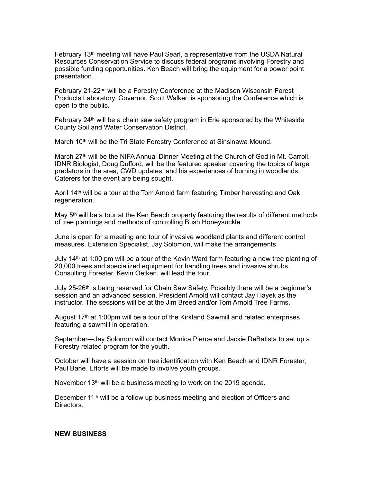February 13th meeting will have Paul Searl, a representative from the USDA Natural Resources Conservation Service to discuss federal programs involving Forestry and possible funding opportunities. Ken Beach will bring the equipment for a power point presentation.

February 21-22<sup>nd</sup> will be a Forestry Conference at the Madison Wisconsin Forest Products Laboratory. Governor, Scott Walker, is sponsoring the Conference which is open to the public.

February 24th will be a chain saw safety program in Erie sponsored by the Whiteside County Soil and Water Conservation District.

March 10<sup>th</sup> will be the Tri State Forestry Conference at Sinsinawa Mound.

March 27<sup>th</sup> will be the NIFA Annual Dinner Meeting at the Church of God in Mt. Carroll. IDNR Biologist, Doug Dufford, will be the featured speaker covering the topics of large predators in the area, CWD updates, and his experiences of burning in woodlands. Caterers for the event are being sought.

April  $14<sup>th</sup>$  will be a tour at the Tom Arnold farm featuring Timber harvesting and Oak regeneration.

May 5th will be a tour at the Ken Beach property featuring the results of different methods of tree plantings and methods of controlling Bush Honeysuckle.

June is open for a meeting and tour of invasive woodland plants and different control measures. Extension Specialist, Jay Solomon, will make the arrangements.

July 14th at 1:00 pm will be a tour of the Kevin Ward farm featuring a new tree planting of 20,000 trees and specialized equipment for handling trees and invasive shrubs. Consulting Forester, Kevin Oetken, will lead the tour.

July 25-26<sup>th</sup> is being reserved for Chain Saw Safety. Possibly there will be a beginner's session and an advanced session. President Arnold will contact Jay Hayek as the instructor. The sessions will be at the Jim Breed and/or Tom Arnold Tree Farms.

August  $17<sup>th</sup>$  at 1:00pm will be a tour of the Kirkland Sawmill and related enterprises featuring a sawmill in operation.

September—Jay Solomon will contact Monica Pierce and Jackie DeBatista to set up a Forestry related program for the youth.

October will have a session on tree identification with Ken Beach and IDNR Forester, Paul Bane. Efforts will be made to involve youth groups.

November 13<sup>th</sup> will be a business meeting to work on the 2019 agenda.

December 11<sup>th</sup> will be a follow up business meeting and election of Officers and Directors.

## **NEW BUSINESS**